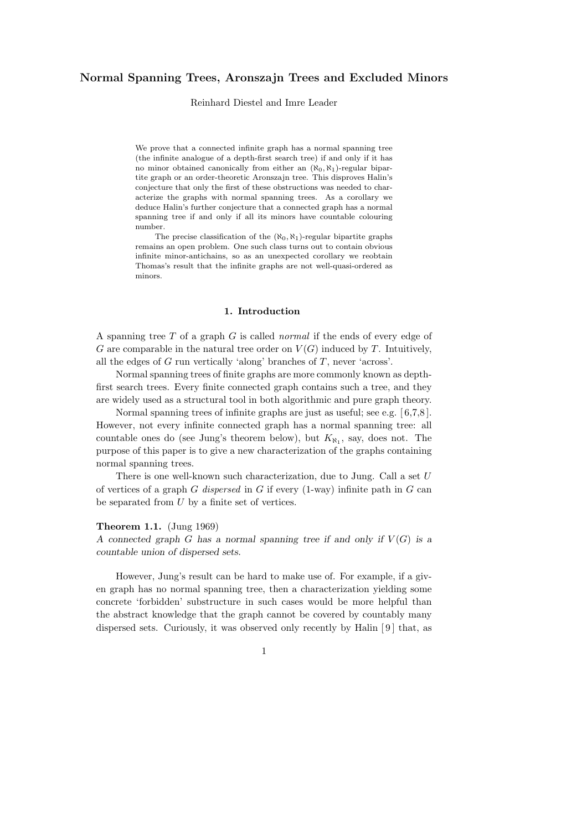# **Normal Spanning Trees, Aronszajn Trees and Excluded Minors**

Reinhard Diestel and Imre Leader

We prove that a connected infinite graph has a normal spanning tree (the infinite analogue of a depth-first search tree) if and only if it has no minor obtained canonically from either an  $(\aleph_0, \aleph_1)$ -regular bipartite graph or an order-theoretic Aronszajn tree. This disproves Halin's conjecture that only the first of these obstructions was needed to characterize the graphs with normal spanning trees. As a corollary we deduce Halin's further conjecture that a connected graph has a normal spanning tree if and only if all its minors have countable colouring number.

The precise classification of the  $(\aleph_0, \aleph_1)$ -regular bipartite graphs remains an open problem. One such class turns out to contain obvious infinite minor-antichains, so as an unexpected corollary we reobtain Thomas's result that the infinite graphs are not well-quasi-ordered as minors.

## **1. Introduction**

A spanning tree *T* of a graph *G* is called normal if the ends of every edge of *G* are comparable in the natural tree order on  $V(G)$  induced by *T*. Intuitively, all the edges of *G* run vertically 'along'branches of *T*, never 'across'.

Normal spanning trees of finite graphs are more commonly known as depthfirst search trees. Every finite connected graph contains such a tree, and they are widely used as a structural tool in both algorithmic and pure graph theory.

Normal spanning trees of infinite graphs are just as useful; see e.g. [ 6,7,8 ]. However, not every infinite connected graph has a normal spanning tree: all countable ones do (see Jung's theorem below), but  $K_{\aleph_1}$ , say, does not. The purpose of this paper is to give a new characterization of the graphs containing normal spanning trees.

There is one well-known such characterization, due to Jung. Call a set *U* of vertices of a graph *G* dispersed in *G* if every (1-way) infinite path in *G* can be separated from *U* by a finite set of vertices.

#### **Theorem 1.1.** (Jung 1969)

*A* connected graph *G* has a normal spanning tree if and only if  $V(G)$  is a *countable union of dispersed sets.*

However, Jung's result can be hard to make use of. For example, if a given graph has no normal spanning tree, then a characterization yielding some concrete 'forbidden'substructure in such cases would be more helpful than the abstract knowledge that the graph cannot be covered by countably many dispersed sets. Curiously, it was observed only recently by Halin  $[9]$  that, as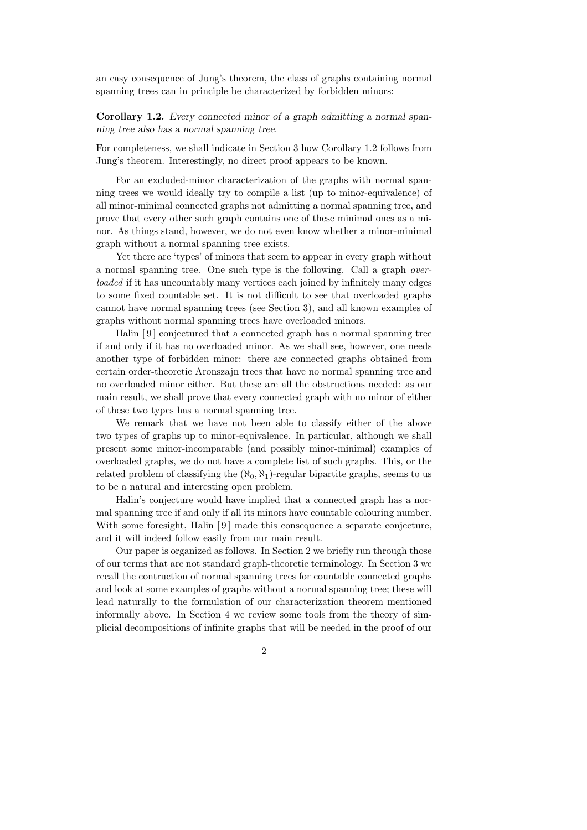an easy consequence of Jung's theorem, the class of graphs containing normal spanning trees can in principle be characterized by forbidden minors:

**Corollary 1.2.** *Every connected minor of a graph admitting a normal spanning tree also has a normal spanning tree.*

For completeness, we shall indicate in Section 3 how Corollary 1.2 follows from Jung's theorem. Interestingly, no direct proof appears to be known.

For an excluded-minor characterization of the graphs with normal spanning trees we would ideally try to compile a list (up to minor-equivalence) of all minor-minimal connected graphs not admitting a normal spanning tree, and prove that every other such graph contains one of these minimal ones as a minor. As things stand, however, we do not even know whether a minor-minimal graph without a normal spanning tree exists.

Yet there are 'types'of minors that seem to appear in every graph without a normal spanning tree. One such type is the following. Call a graph overloaded if it has uncountably many vertices each joined by infinitely many edges to some fixed countable set. It is not difficult to see that overloaded graphs cannot have normal spanning trees (see Section 3), and all known examples of graphs without normal spanning trees have overloaded minors.

Halin [9] conjectured that a connected graph has a normal spanning tree if and only if it has no overloaded minor. As we shall see, however, one needs another type of forbidden minor: there are connected graphs obtained from certain order-theoretic Aronszajn trees that have no normal spanning tree and no overloaded minor either. But these are all the obstructions needed: as our main result, we shall prove that every connected graph with no minor of either of these two types has a normal spanning tree.

We remark that we have not been able to classify either of the above two types of graphs up to minor-equivalence. In particular, although we shall present some minor-incomparable (and possibly minor-minimal) examples of overloaded graphs, we do not have a complete list of such graphs. This, or the related problem of classifying the  $(\aleph_0, \aleph_1)$ -regular bipartite graphs, seems to us to be a natural and interesting open problem.

Halin's conjecture would have implied that a connected graph has a normal spanning tree if and only if all its minors have countable colouring number. With some foresight, Halin [9] made this consequence a separate conjecture, and it will indeed follow easily from our main result.

Our paper is organized as follows. In Section 2 we briefly run through those of our terms that are not standard graph-theoretic terminology. In Section 3 we recall the contruction of normal spanning trees for countable connected graphs and look at some examples of graphs without a normal spanning tree; these will lead naturally to the formulation of our characterization theorem mentioned informally above. In Section 4 we review some tools from the theory of simplicial decompositions of infinite graphs that will be needed in the proof of our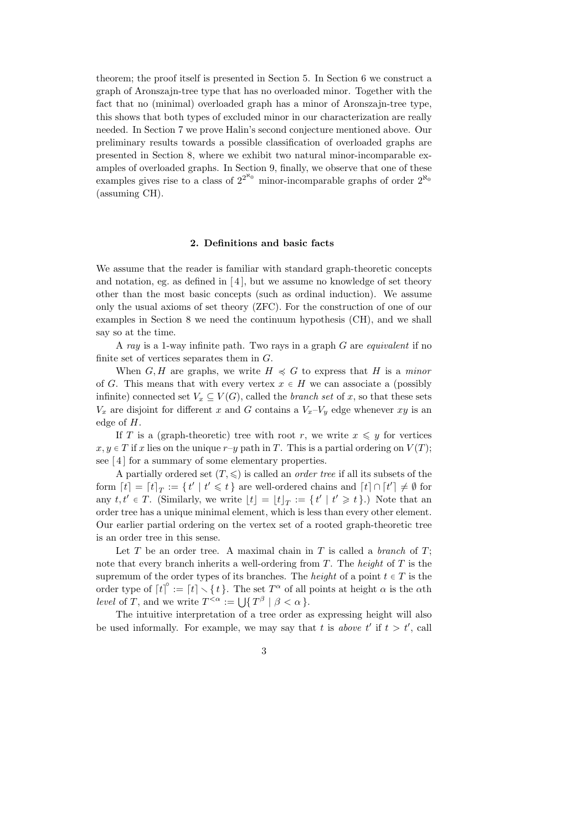theorem; the proof itself is presented in Section 5. In Section 6 we construct a graph of Aronszajn-tree type that has no overloaded minor. Together with the fact that no (minimal) overloaded graph has a minor of Aronszajn-tree type, this shows that both types of excluded minor in our characterization are really needed. In Section 7 we prove Halin's second conjecture mentioned above. Our preliminary results towards a possible classification of overloaded graphs are presented in Section 8, where we exhibit two natural minor-incomparable examples of overloaded graphs. In Section 9, finally, we observe that one of these examples gives rise to a class of  $2^{2^{\kappa_0}}$  minor-incomparable graphs of order  $2^{\aleph_0}$ (assuming CH).

#### **2. Definitions and basic facts**

We assume that the reader is familiar with standard graph-theoretic concepts and notation, eg. as defined in  $[4]$ , but we assume no knowledge of set theory other than the most basic concepts (such as ordinal induction). We assume only the usual axioms of set theory (ZFC). For the construction of one of our examples in Section 8 we need the continuum hypothesis (CH), and we shall say so at the time.

A ray is a 1-way infinite path. Two rays in a graph *G* are equivalent if no finite set of vertices separates them in *G*.

When *G*, *H* are graphs, we write  $H \preccurlyeq G$  to express that *H* is a *minor* of *G*. This means that with every vertex  $x \in H$  we can associate a (possibly infinite) connected set  $V_x \subseteq V(G)$ , called the *branch set* of *x*, so that these sets  $V_x$  are disjoint for different *x* and *G* contains a  $V_x - V_y$  edge whenever *xy* is an edge of *H*.

If *T* is a (graph-theoretic) tree with root *r*, we write  $x \leq y$  for vertices  $x, y \in T$  if *x* lies on the unique  $r-y$  path in *T*. This is a partial ordering on  $V(T)$ ; see [ 4 ] for a summary of some elementary properties.

A partially ordered set  $(T, \leqslant)$  is called an *order tree* if all its subsets of the form  $[t] = [t]_T := \{ t' | t' \leq t \}$  are well-ordered chains and  $[t] \cap [t'] \neq \emptyset$  for any  $t, t' \in T$ . (Similarly, we write  $\lfloor t \rfloor = \lfloor t \rfloor_T := \{ t' \mid t' \geq t \}.$ ) Note that an order tree has a unique minimal element, which is less than every other element. Our earlier partial ordering on the vertex set of a rooted graph-theoretic tree is an order tree in this sense.

Let  $T$  be an order tree. A maximal chain in  $T$  is called a *branch* of  $T$ ; note that every branch inherits a well-ordering from *T*. The height of *T* is the supremum of the order types of its branches. The *height* of a point  $t \in T$  is the order type of  $\lceil t \rceil^{\circ} := \lceil t \rceil \setminus \{ t \}.$  The set  $T^{\alpha}$  of all points at height  $\alpha$  is the  $\alpha$ th level of *T*, and we write  $T^{<\alpha} := \bigcup \{ T^{\beta} \mid \beta < \alpha \}.$ 

The intuitive interpretation of a tree order as expressing height will also be used informally. For example, we may say that  $t$  is above  $t'$  if  $t > t'$ , call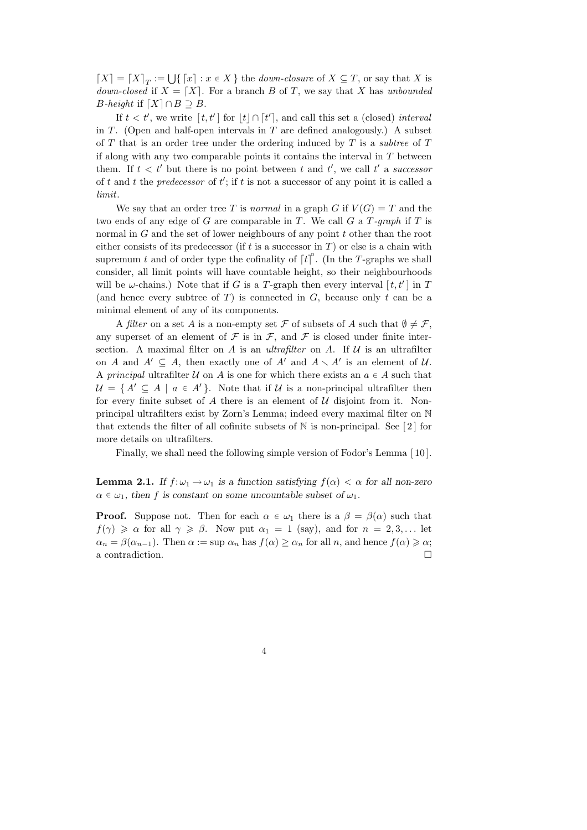$[X] = [X]_T := \bigcup \{ [x] : x \in X \}$  the *down-closure* of  $X \subseteq T$ , or say that *X* is down-closed if  $X = [X]$ . For a branch *B* of *T*, we say that *X* has unbounded *B*-height if  $[X] \cap B \supseteq B$ .

If  $t < t'$ , we write  $[t, t']$  for  $[t] \cap [t']$ , and call this set a (closed) *interval* in *T*. (Open and half-open intervals in *T* are defined analogously.) A subset of *T* that is an order tree under the ordering induced by *T* is a subtree of *T* if along with any two comparable points it contains the interval in *T* between them. If  $t < t'$  but there is no point between  $t$  and  $t'$ , we call  $t'$  a successor of *t* and *t* the *predecessor* of *t'*; if *t* is not a successor of any point it is called a limit.

We say that an order tree *T* is *normal* in a graph *G* if  $V(G) = T$  and the two ends of any edge of *G* are comparable in *T*. We call *G* a *T*-graph if *T* is normal in *G* and the set of lower neighbours of any point *t* other than the root either consists of its predecessor (if *t* is a successor in *T*) or else is a chain with supremum *t* and of order type the cofinality of  $\lceil t \rceil^{\circ}$ . (In the *T*-graphs we shall consider, all limit points will have countable height, so their neighbourhoods will be  $\omega$ -chains.) Note that if *G* is a *T*-graph then every interval  $[t, t']$  in *T* (and hence every subtree of *T*) is connected in *G*, because only *t* can be a minimal element of any of its components.

A filter on a set *A* is a non-empty set *F* of subsets of *A* such that  $\emptyset \neq \mathcal{F}$ , any superset of an element of  $\mathcal F$  is in  $\mathcal F$ , and  $\mathcal F$  is closed under finite intersection. A maximal filter on  $A$  is an *ultrafilter* on  $A$ . If  $U$  is an ultrafilter on *A* and  $A' \subseteq A$ , then exactly one of  $A'$  and  $A \setminus A'$  is an element of U. A principal ultrafilter U on A is one for which there exists an  $a \in A$  such that  $U = \{ A' \subseteq A \mid a \in A' \}.$  Note that if U is a non-principal ultrafilter then for every finite subset of  $A$  there is an element of  $U$  disjoint from it. Nonprincipal ultrafilters exist by Zorn's Lemma; indeed every maximal filter on N that extends the filter of all cofinite subsets of  $N$  is non-principal. See [2] for more details on ultrafilters.

Finally, we shall need the following simple version of Fodor's Lemma [ 10 ].

**Lemma 2.1.** *If*  $f: \omega_1 \to \omega_1$  *is a function satisfying*  $f(\alpha) < \alpha$  *for all non-zero*  $\alpha \in \omega_1$ , then *f* is constant on some uncountable subset of  $\omega_1$ .

**Proof.** Suppose not. Then for each  $\alpha \in \omega_1$  there is a  $\beta = \beta(\alpha)$  such that  $f(\gamma) \geq \alpha$  for all  $\gamma \geq \beta$ . Now put  $\alpha_1 = 1$  (say), and for  $n = 2, 3, \ldots$  let  $\alpha_n = \beta(\alpha_{n-1})$ . Then  $\alpha := \sup \alpha_n$  has  $f(\alpha) \ge \alpha_n$  for all *n*, and hence  $f(\alpha) \ge \alpha$ ; a contradiction.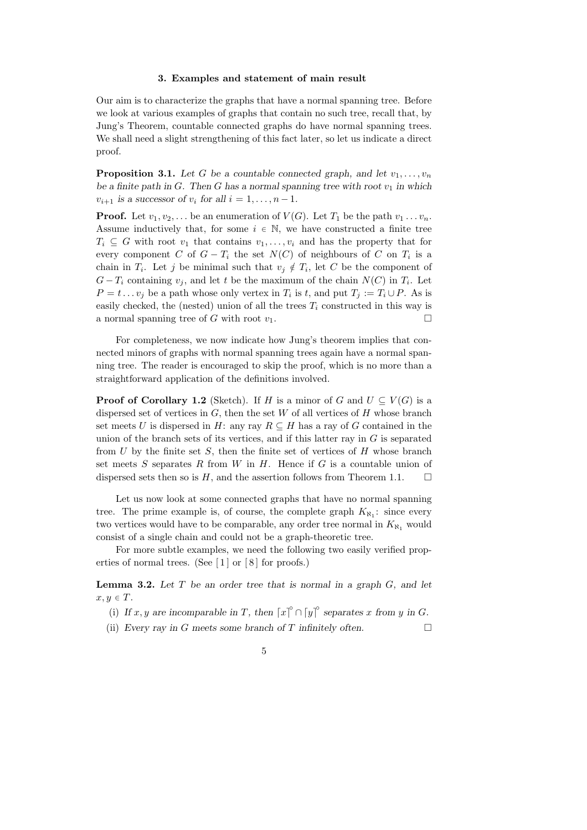### **3. Examples and statement of main result**

Our aim is to characterize the graphs that have a normal spanning tree. Before we look at various examples of graphs that contain no such tree, recall that, by Jung's Theorem, countable connected graphs do have normal spanning trees. We shall need a slight strengthening of this fact later, so let us indicate a direct proof.

**Proposition 3.1.** Let *G* be a countable connected graph, and let  $v_1, \ldots, v_n$ *be a finite path in G. Then G has a normal spanning tree with root*  $v_1$  *in which*  $v_{i+1}$  *is a successor of*  $v_i$  *for all*  $i = 1, \ldots, n-1$ *.* 

**Proof.** Let  $v_1, v_2, \ldots$  be an enumeration of  $V(G)$ . Let  $T_1$  be the path  $v_1 \ldots v_n$ . Assume inductively that, for some  $i \in \mathbb{N}$ , we have constructed a finite tree  $T_i \subseteq G$  with root  $v_1$  that contains  $v_1, \ldots, v_i$  and has the property that for every component *C* of  $G - T_i$  the set  $N(C)$  of neighbours of *C* on  $T_i$  is a chain in  $T_i$ . Let *j* be minimal such that  $v_j \notin T_i$ , let *C* be the component of  $G - T_i$  containing  $v_i$ , and let *t* be the maximum of the chain  $N(C)$  in  $T_i$ . Let  $P = t...v_j$  be a path whose only vertex in  $T_i$  is  $t$ , and put  $T_j := T_i \cup P$ . As is easily checked, the (nested) union of all the trees  $T_i$  constructed in this way is a normal spanning tree of *G* with root  $v_1$ .

For completeness, we now indicate how Jung's theorem implies that connected minors of graphs with normal spanning trees again have a normal spanning tree. The reader is encouraged to skip the proof, which is no more than a straightforward application of the definitions involved.

**Proof of Corollary 1.2** (Sketch). If *H* is a minor of *G* and  $U \subseteq V(G)$  is a dispersed set of vertices in *G*, then the set *W* of all vertices of *H* whose branch set meets *U* is dispersed in *H*: any ray  $R \subseteq H$  has a ray of *G* contained in the union of the branch sets of its vertices, and if this latter ray in *G* is separated from *U* by the finite set *S*, then the finite set of vertices of *H* whose branch set meets *S* separates *R* from *W* in *H*. Hence if *G* is a countable union of dispersed sets then so is  $H$ , and the assertion follows from Theorem 1.1.  $\Box$ 

Let us now look at some connected graphs that have no normal spanning tree. The prime example is, of course, the complete graph  $K_{\aleph_1}$ : since every two vertices would have to be comparable, any order tree normal in  $K_{\aleph_1}$  would consist of a single chain and could not be a graph-theoretic tree.

For more subtle examples, we need the following two easily verified properties of normal trees. (See  $\lceil 1 \rceil$  or  $\lceil 8 \rceil$  for proofs.)

**Lemma 3.2.** *Let T be an order tree that is normal in a graph G, and let*  $x, y \in T$ .

- (i) If  $x, y$  are incomparable in  $T$ , then  $\left[x\right]^\circ \cap \left[y\right]^\circ$  separates  $x$  from  $y$  in  $G$ .
- (ii) *Every ray in G* meets some branch of *T* infinitely often.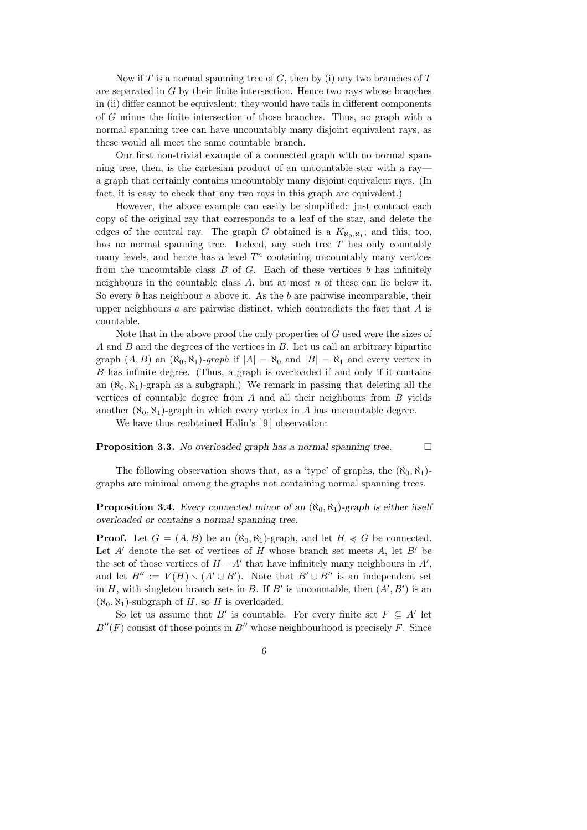Now if *T* is a normal spanning tree of *G*, then by (i) any two branches of *T* are separated in *G* by their finite intersection. Hence two rays whose branches in (ii) differ cannot be equivalent: they would have tails in different components of *G* minus the finite intersection of those branches. Thus, no graph with a normal spanning tree can have uncountably many disjoint equivalent rays, as these would all meet the same countable branch.

Our first non-trivial example of a connected graph with no normal spanning tree, then, is the cartesian product of an uncountable star with a ray a graph that certainly contains uncountably many disjoint equivalent rays. (In fact, it is easy to check that any two rays in this graph are equivalent.)

However, the above example can easily be simplified: just contract each copy of the original ray that corresponds to a leaf of the star, and delete the edges of the central ray. The graph *G* obtained is a  $K_{\aleph_0, \aleph_1}$ , and this, too, has no normal spanning tree. Indeed, any such tree *T* has only countably many levels, and hence has a level  $T^n$  containing uncountably many vertices from the uncountable class *B* of *G*. Each of these vertices *b* has infinitely neighbours in the countable class *A*, but at most *n* of these can lie below it. So every *b* has neighbour *a* above it. As the *b* are pairwise incomparable, their upper neighbours *a* are pairwise distinct, which contradicts the fact that *A* is countable.

Note that in the above proof the only properties of *G* used were the sizes of *A* and *B* and the degrees of the vertices in *B*. Let us call an arbitrary bipartite graph  $(A, B)$  an  $(\aleph_0, \aleph_1)$ -graph if  $|A| = \aleph_0$  and  $|B| = \aleph_1$  and every vertex in *B* has infinite degree. (Thus, a graph is overloaded if and only if it contains an  $(\aleph_0, \aleph_1)$ -graph as a subgraph.) We remark in passing that deleting all the vertices of countable degree from *A* and all their neighbours from *B* yields another  $(\aleph_0, \aleph_1)$ -graph in which every vertex in *A* has uncountable degree.

We have thus reobtained Halin's [9] observation:

#### **Proposition 3.3.** *No overloaded graph has a normal spanning tree.*

The following observation shows that, as a 'type' of graphs, the  $(\aleph_0, \aleph_1)$ graphs are minimal among the graphs not containing normal spanning trees.

**Proposition 3.4.** *Every connected minor of an*  $(\aleph_0, \aleph_1)$ *-graph is either itself overloaded or contains a normal spanning tree.*

**Proof.** Let  $G = (A, B)$  be an  $(\aleph_0, \aleph_1)$ -graph, and let  $H \preccurlyeq G$  be connected. Let  $A'$  denote the set of vertices of  $H$  whose branch set meets  $A$ , let  $B'$  be the set of those vertices of  $H - A'$  that have infinitely many neighbours in  $A'$ , and let  $B'' := V(H) \setminus (A' \cup B')$ . Note that  $B' \cup B''$  is an independent set in  $H$ , with singleton branch sets in  $B$ . If  $B'$  is uncountable, then  $(A', B')$  is an  $(\aleph_0, \aleph_1)$ -subgraph of *H*, so *H* is overloaded.

So let us assume that *B'* is countable. For every finite set  $F \subseteq A'$  let  $B''(F)$  consist of those points in  $B''$  whose neighbourhood is precisely *F*. Since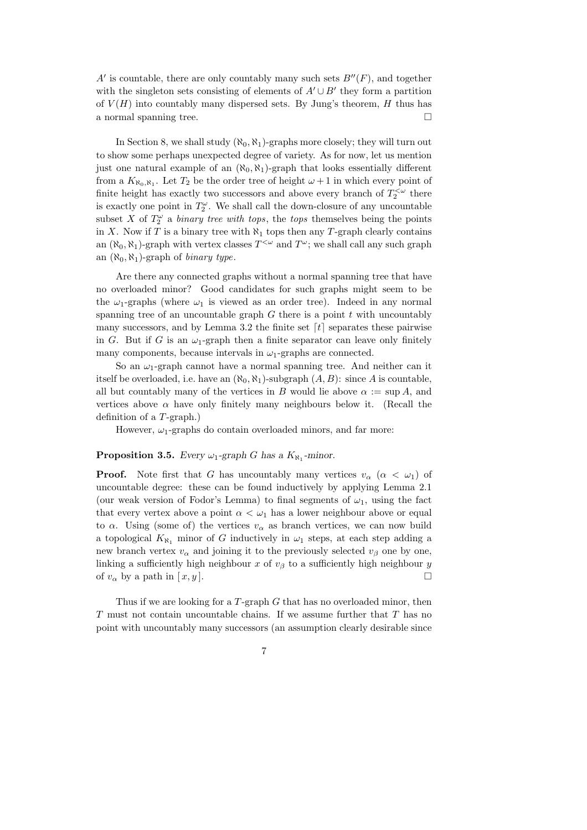*A*' is countable, there are only countably many such sets  $B''(F)$ , and together with the singleton sets consisting of elements of  $A' \cup B'$  they form a partition of  $V(H)$  into countably many dispersed sets. By Jung's theorem,  $H$  thus has a normal spanning tree.

In Section 8, we shall study  $(\aleph_0, \aleph_1)$ -graphs more closely; they will turn out to show some perhaps unexpected degree of variety. As for now, let us mention just one natural example of an  $(\aleph_0, \aleph_1)$ -graph that looks essentially different from a  $K_{\aleph_0,\aleph_1}$ . Let  $T_2$  be the order tree of height  $\omega+1$  in which every point of finite height has exactly two successors and above every branch of  $T_2^{\leq \omega}$  there is exactly one point in  $T_2^{\omega}$ . We shall call the down-closure of any uncountable subset *X* of  $T_2^{\omega}$  a *binary tree with tops*, the *tops* themselves being the points in *X*. Now if *T* is a binary tree with  $\aleph_1$  tops then any *T*-graph clearly contains an  $(\aleph_0, \aleph_1)$ -graph with vertex classes  $T^{\lt \omega}$  and  $T^\omega$ ; we shall call any such graph an  $(\aleph_0, \aleph_1)$ -graph of *binary type*.

Are there any connected graphs without a normal spanning tree that have no overloaded minor? Good candidates for such graphs might seem to be the  $\omega_1$ -graphs (where  $\omega_1$  is viewed as an order tree). Indeed in any normal spanning tree of an uncountable graph *G* there is a point *t* with uncountably many successors, and by Lemma 3.2 the finite set  $[t]$  separates these pairwise in *G*. But if *G* is an  $\omega_1$ -graph then a finite separator can leave only finitely many components, because intervals in  $\omega_1$ -graphs are connected.

So an  $\omega_1$ -graph cannot have a normal spanning tree. And neither can it itself be overloaded, i.e. have an  $(\aleph_0, \aleph_1)$ -subgraph  $(A, B)$ : since A is countable, all but countably many of the vertices in *B* would lie above  $\alpha := \sup A$ , and vertices above  $\alpha$  have only finitely many neighbours below it. (Recall the definition of a *T*-graph.)

However,  $\omega_1$ -graphs do contain overloaded minors, and far more:

# **Proposition 3.5.** *Every*  $\omega_1$ -graph *G* has a  $K_{\aleph_1}$ -minor.

**Proof.** Note first that *G* has uncountably many vertices  $v_\alpha$  ( $\alpha < \omega_1$ ) of uncountable degree: these can be found inductively by applying Lemma 2.1 (our weak version of Fodor's Lemma) to final segments of  $\omega_1$ , using the fact that every vertex above a point  $\alpha < \omega_1$  has a lower neighbour above or equal to  $\alpha$ . Using (some of) the vertices  $v_{\alpha}$  as branch vertices, we can now build a topological  $K_{\aleph_1}$  minor of *G* inductively in  $\omega_1$  steps, at each step adding a new branch vertex  $v_\alpha$  and joining it to the previously selected  $v_\beta$  one by one, linking a sufficiently high neighbour *x* of *v<sup>β</sup>* to a sufficiently high neighbour *y* of  $v_{\alpha}$  by a path in [  $x, y$  ].

Thus if we are looking for a *T*-graph *G* that has no overloaded minor, then *T* must not contain uncountable chains. If we assume further that *T* has no point with uncountably many successors (an assumption clearly desirable since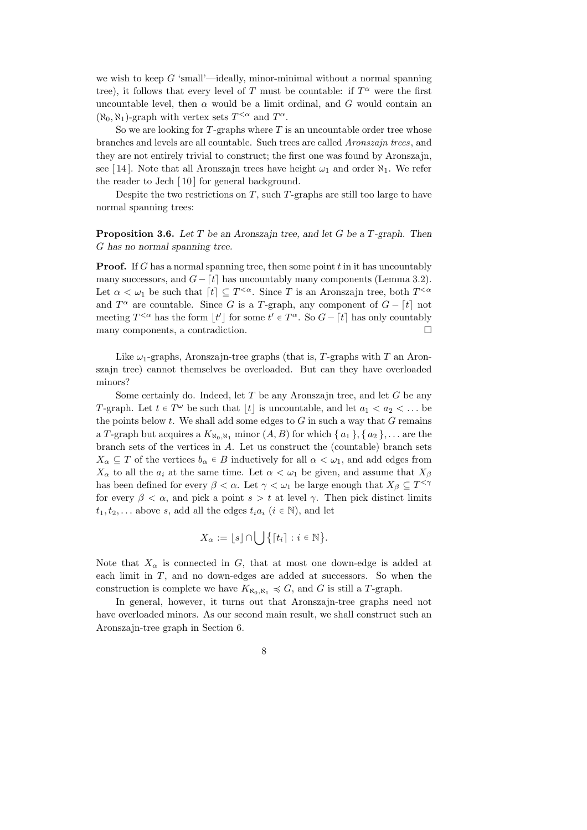we wish to keep *G* 'small'—ideally, minor-minimal without a normal spanning tree), it follows that every level of *T* must be countable: if  $T^{\alpha}$  were the first uncountable level, then  $\alpha$  would be a limit ordinal, and  $G$  would contain an  $(\aleph_0, \aleph_1)$ -graph with vertex sets  $T^{\leq \alpha}$  and  $T^{\alpha}$ .

So we are looking for *T*-graphs where *T* is an uncountable order tree whose branches and levels are all countable. Such trees are called Aronszajn trees, and they are not entirely trivial to construct; the first one was found by Aronszajn, see [14]. Note that all Aronszajn trees have height  $\omega_1$  and order  $\aleph_1$ . We refer the reader to Jech [10] for general background.

Despite the two restrictions on *T*, such *T*-graphs are still too large to have normal spanning trees:

**Proposition 3.6.** *Let T be an Aronszajn tree, and let G be a T-graph. Then G has no normal spanning tree.*

**Proof.** If *G* has a normal spanning tree, then some point *t* in it has uncountably many successors, and  $G - [t]$  has uncountably many components (Lemma 3.2). Let  $\alpha < \omega_1$  be such that  $\lceil t \rceil \subset T^{\leq \alpha}$ . Since *T* is an Aronszajn tree, both  $T^{\leq \alpha}$ and  $T^{\alpha}$  are countable. Since *G* is a *T*-graph, any component of  $G - [t]$  not meeting  $T^{<\alpha}$  has the form  $\lfloor t' \rfloor$  for some  $t' \in T^{\alpha}$ . So  $G - \lceil t \rceil$  has only countably many components, a contradiction.

Like  $\omega_1$ -graphs, Aronszajn-tree graphs (that is, *T*-graphs with *T* an Aronszajn tree) cannot themselves be overloaded. But can they have overloaded minors?

Some certainly do. Indeed, let *T* be any Aronszajn tree, and let *G* be any *T*-graph. Let  $t \in T^{\omega}$  be such that  $|t|$  is uncountable, and let  $a_1 < a_2 < \dots$  be the points below  $t$ . We shall add some edges to  $G$  in such a way that  $G$  remains a *T*-graph but acquires a  $K_{\aleph_0, \aleph_1}$  minor  $(A, B)$  for which  $\{a_1\}, \{a_2\}, \ldots$  are the branch sets of the vertices in *A*. Let us construct the (countable) branch sets  $X_{\alpha} \subseteq T$  of the vertices  $b_{\alpha} \in B$  inductively for all  $\alpha < \omega_1$ , and add edges from *X*<sup>*α*</sup> to all the *a<sub>i</sub>* at the same time. Let  $\alpha < \omega_1$  be given, and assume that  $X_\beta$ has been defined for every  $\beta < \alpha$ . Let  $\gamma < \omega_1$  be large enough that  $X_\beta \subseteq T^{\leq \gamma}$ for every  $\beta < \alpha$ , and pick a point  $s > t$  at level  $\gamma$ . Then pick distinct limits  $t_1, t_2, \ldots$  above *s*, add all the edges  $t_i a_i$  ( $i \in \mathbb{N}$ ), and let

$$
X_{\alpha} := \lfloor s \rfloor \cap \bigcup \big\{ \lceil t_i \rceil : i \in \mathbb{N} \big\}.
$$

Note that  $X_{\alpha}$  is connected in *G*, that at most one down-edge is added at each limit in *T*, and no down-edges are added at successors. So when the construction is complete we have  $K_{\aleph_0, \aleph_1} \preccurlyeq G$ , and *G* is still a *T*-graph.

In general, however, it turns out that Aronszajn-tree graphs need not have overloaded minors. As our second main result, we shall construct such an Aronszajn-tree graph in Section 6.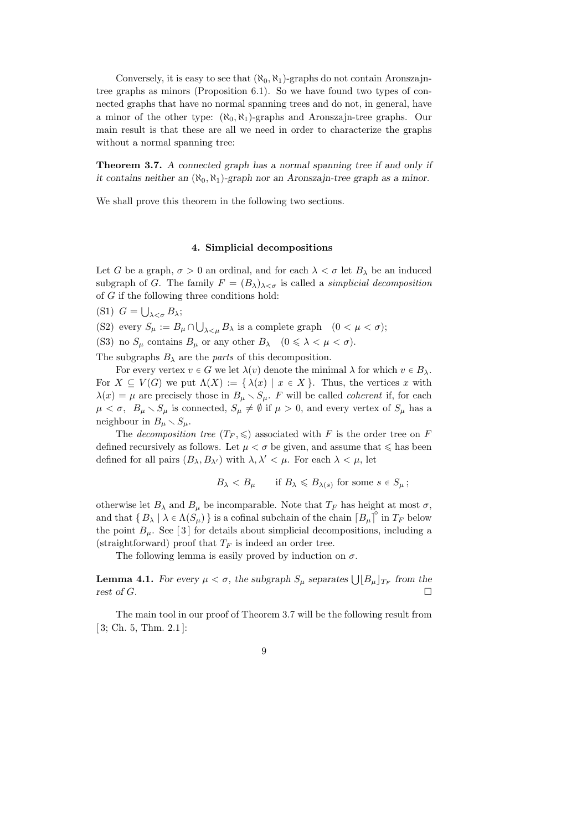Conversely, it is easy to see that  $(\aleph_0, \aleph_1)$ -graphs do not contain Aronszajntree graphs as minors (Proposition 6.1). So we have found two types of connected graphs that have no normal spanning trees and do not, in general, have a minor of the other type:  $(\aleph_0, \aleph_1)$ -graphs and Aronszajn-tree graphs. Our main result is that these are all we need in order to characterize the graphs without a normal spanning tree:

**Theorem 3.7.** *A connected graph has a normal spanning tree if and only if it contains neither an*  $(\aleph_0, \aleph_1)$ -graph nor an Aronszajn-tree graph as a minor.

We shall prove this theorem in the following two sections.

### **4. Simplicial decompositions**

Let *G* be a graph,  $\sigma > 0$  an ordinal, and for each  $\lambda < \sigma$  let  $B_\lambda$  be an induced subgraph of *G*. The family  $F = (B_{\lambda})_{\lambda < \sigma}$  is called a *simplicial decomposition* of *G* if the following three conditions hold:

- $(S1)$   $G = \bigcup_{\lambda < \sigma} B_{\lambda};$
- (S2) every  $S_{\mu} := B_{\mu} \cap \bigcup_{\lambda \leq \mu} B_{\lambda}$  is a complete graph  $(0 < \mu < \sigma);$
- (S3) no  $S_{\mu}$  contains  $B_{\mu}$  or any other  $B_{\lambda}$   $(0 \le \lambda \le \mu \le \sigma)$ .

The subgraphs  $B_\lambda$  are the *parts* of this decomposition.

For every vertex  $v \in G$  we let  $\lambda(v)$  denote the minimal  $\lambda$  for which  $v \in B_{\lambda}$ . For  $X \subseteq V(G)$  we put  $\Lambda(X) := \{\lambda(x) \mid x \in X\}$ . Thus, the vertices x with  $\lambda(x) = \mu$  are precisely those in  $B_\mu \setminus S_\mu$ . *F* will be called *coherent* if, for each  $\mu < \sigma$ ,  $B_{\mu} \setminus S_{\mu}$  is connected,  $S_{\mu} \neq \emptyset$  if  $\mu > 0$ , and every vertex of  $S_{\mu}$  has a neighbour in  $B_\mu \setminus S_\mu$ .

The *decomposition tree*  $(T_F, \leqslant)$  associated with *F* is the order tree on *F* defined recursively as follows. Let  $\mu < \sigma$  be given, and assume that  $\leq$  has been defined for all pairs  $(B_{\lambda}, B_{\lambda})$  with  $\lambda, \lambda' < \mu$ . For each  $\lambda < \mu$ , let

$$
B_{\lambda} < B_{\mu} \quad \text{if } B_{\lambda} \leqslant B_{\lambda(s)} \text{ for some } s \in S_{\mu};
$$

otherwise let  $B_\lambda$  and  $B_\mu$  be incomparable. Note that  $T_F$  has height at most  $\sigma$ , and that  ${B_\lambda \mid \lambda \in \Lambda(S_\mu)}$  is a cofinal subchain of the chain  ${[B_\mu]}^\circ$  in  $T_F$  below the point  $B_\mu$ . See [3] for details about simplicial decompositions, including a (straightforward) proof that  $T_F$  is indeed an order tree.

The following lemma is easily proved by induction on  $\sigma$ .

**Lemma 4.1.** *For every*  $\mu < \sigma$ , the subgraph  $S_{\mu}$  separates  $\bigcup [B_{\mu}]_{T_F}$  from the rest of  $G$ *.* 

The main tool in our proof of Theorem 3.7 will be the following result from [ 3; Ch. 5, Thm. 2.1 ]: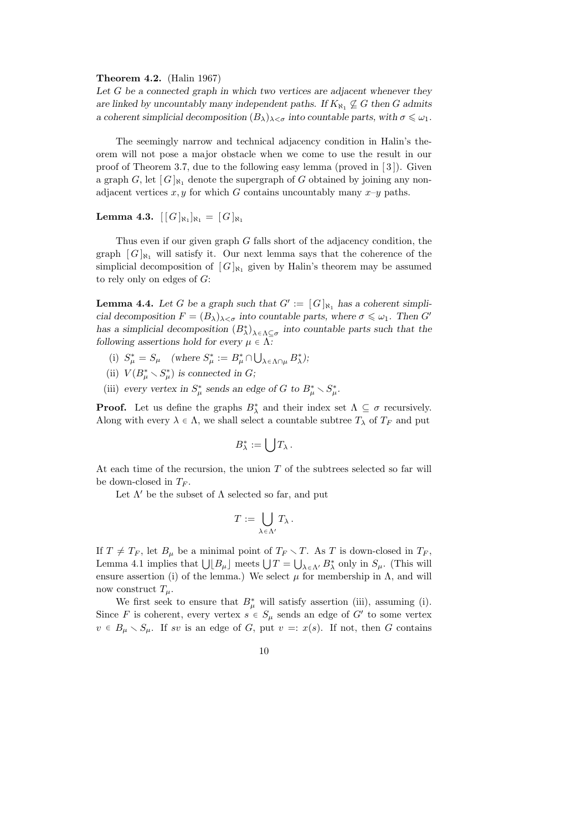#### **Theorem 4.2.** (Halin 1967)

*Let G be a connected graph in which two vertices are adjacent whenever they are linked by uncountably many independent paths. If*  $K_{\aleph_1} \not\subseteq G$  *then G admits a* coherent simplicial decomposition  $(B_{\lambda})_{\lambda<\sigma}$  into countable parts, with  $\sigma\leq \omega_1$ .

The seemingly narrow and technical adjacency condition in Halin's theorem will not pose a major obstacle when we come to use the result in our proof of Theorem 3.7, due to the following easy lemma (proved in  $[3]$ ). Given a graph *G*, let  $[G]_{\aleph_1}$  denote the supergraph of *G* obtained by joining any nonadjacent vertices  $x, y$  for which  $G$  contains uncountably many  $x-y$  paths.

**Lemma 4.3.**  $[ [G]_{\aleph_1}]_{\aleph_2} = [G]_{\aleph_1}$ 

Thus even if our given graph *G* falls short of the adjacency condition, the graph  $[G]_{\aleph_1}$  will satisfy it. Our next lemma says that the coherence of the simplicial decomposition of  $[G]_{\aleph_1}$  given by Halin's theorem may be assumed to rely only on edges of *G*:

**Lemma 4.4.** Let *G* be a graph such that  $G' := [G]_{\aleph_1}$  has a coherent simpli*cial decomposition*  $F = (B_\lambda)_{\lambda < \sigma}$  *into countable parts, where*  $\sigma \leq \omega_1$ *. Then*  $G'$ *has a simplicial decomposition*  $(B_{\lambda}^{*})_{\lambda \in \Lambda \subseteq \sigma}$  *into countable parts such that the following assertions hold for every*  $\mu \in \Lambda$ :

- (i)  $S^*_{\mu} = S_{\mu}$  (where  $S^*_{\mu} := B^*_{\mu} \cap \bigcup_{\lambda \in \Lambda \cap \mu} B^*_{\lambda}$ );
- (ii)  $V(B^*_{\mu} \setminus S^*_{\mu})$  is connected in *G*;
- (iii) *every vertex in*  $S^*_{\mu}$  *sends an edge of G to*  $B^*_{\mu} \setminus S^*_{\mu}$ *.*

**Proof.** Let us define the graphs  $B^*_{\lambda}$  and their index set  $\Lambda \subseteq \sigma$  recursively. Along with every  $\lambda \in \Lambda$ , we shall select a countable subtree  $T_{\lambda}$  of  $T_F$  and put

$$
B_\lambda^*:=\bigcup T_\lambda.
$$

At each time of the recursion, the union *T* of the subtrees selected so far will be down-closed in *T<sup>F</sup>* .

Let  $\Lambda'$  be the subset of  $\Lambda$  selected so far, and put

$$
T:=\bigcup_{\lambda\in\Lambda'}T_\lambda\,.
$$

If  $T \neq T_F$ , let  $B_\mu$  be a minimal point of  $T_F \setminus T$ . As *T* is down-closed in  $T_F$ , Lemma 4.1 implies that  $\bigcup [B_\mu]$  meets  $\bigcup T = \bigcup_{\lambda \in \Lambda'} B_\lambda^*$  only in  $S_\mu$ . (This will ensure assertion (i) of the lemma.) We select  $\mu$  for membership in  $\Lambda$ , and will now construct *Tµ*.

We first seek to ensure that  $B^*_{\mu}$  will satisfy assertion (iii), assuming (i). Since *F* is coherent, every vertex  $s \in S_\mu$  sends an edge of *G'* to some vertex  $v \in B_\mu \setminus S_\mu$ . If *sv* is an edge of *G*, put  $v =: x(s)$ . If not, then *G* contains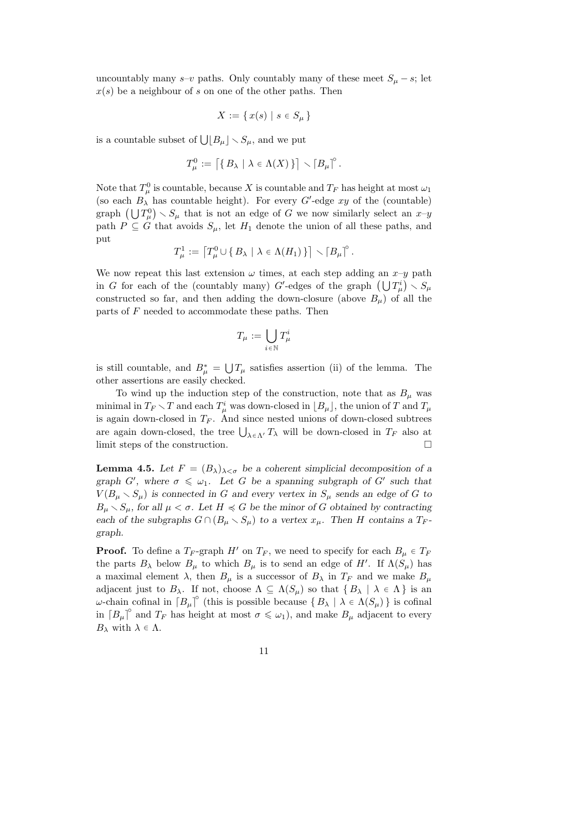uncountably many *s*–*v* paths. Only countably many of these meet  $S_\mu$  – *s*; let  $x(s)$  be a neighbour of *s* on one of the other paths. Then

$$
X := \{ x(s) \mid s \in S_{\mu} \}
$$

is a countable subset of  $\bigcup [B_\mu] \setminus S_\mu$ , and we put

$$
T_{\mu}^{0} := \left[ \{ B_{\lambda} \mid \lambda \in \Lambda(X) \} \right] \setminus \left[ B_{\mu} \right]^{\circ}.
$$

Note that  $T^0_\mu$  is countable, because *X* is countable and  $T_F$  has height at most  $\omega_1$ (so each  $B_\lambda$  has countable height). For every  $G'$ -edge  $xy$  of the (countable) graph  $(\bigcup T^0_\mu) \setminus S_\mu$  that is not an edge of *G* we now similarly select an  $x-y$ path  $P \subseteq G$  that avoids  $S_\mu$ , let  $H_1$  denote the union of all these paths, and put

$$
T_{\mu}^1 := \left[ T_{\mu}^0 \cup \{ B_{\lambda} \mid \lambda \in \Lambda(H_1) \} \right] \setminus \left[ B_{\mu} \right]^\circ.
$$

We now repeat this last extension  $\omega$  times, at each step adding an  $x-y$  path in *G* for each of the (countably many) *G*'-edges of the graph  $(\bigcup T^i_\mu) \setminus S_\mu$ constructed so far, and then adding the down-closure (above  $B_\mu$ ) of all the parts of *F* needed to accommodate these paths. Then

$$
T_\mu := \bigcup_{i\, \in \mathbb{N}} T_\mu^i
$$

is still countable, and  $B^*_{\mu} = \bigcup T_{\mu}$  satisfies assertion (ii) of the lemma. The other assertions are easily checked.

To wind up the induction step of the construction, note that as  $B_\mu$  was minimal in  $T_F \setminus T$  and each  $T^i_\mu$  was down-closed in  $\lfloor B_\mu \rfloor$ , the union of  $T$  and  $T_\mu$ is again down-closed in *T<sup>F</sup>* . And since nested unions of down-closed subtrees are again down-closed, the tree  $\bigcup_{\lambda \in \Lambda'} T_{\lambda}$  will be down-closed in  $T_F$  also at limit steps of the construction.

**Lemma 4.5.** Let  $F = (B_{\lambda})_{\lambda < \sigma}$  be a coherent simplicial decomposition of a *graph*  $G'$ , where  $\sigma \leq \omega_1$ . Let G be a spanning subgraph of  $G'$  such that  $V(B_\mu \setminus S_\mu)$  *is connected in G and every vertex in*  $S_\mu$  *sends an edge of G to*  $B_{\mu} \setminus S_{\mu}$ , for all  $\mu < \sigma$ . Let  $H \preccurlyeq G$  be the minor of *G* obtained by contracting *each of the subgraphs*  $G \cap (B_\mu \setminus S_\mu)$  *to a vertex*  $x_\mu$ *. Then H contains* a  $T_F$ *graph.*

**Proof.** To define a  $T_F$ -graph  $H'$  on  $T_F$ , we need to specify for each  $B_\mu \in T_F$ the parts  $B_{\lambda}$  below  $B_{\mu}$  to which  $B_{\mu}$  is to send an edge of H'. If  $\Lambda(S_{\mu})$  has a maximal element  $\lambda$ , then  $B_\mu$  is a successor of  $B_\lambda$  in  $T_F$  and we make  $B_\mu$ adjacent just to  $B_\lambda$ . If not, choose  $\Lambda \subseteq \Lambda(S_\mu)$  so that  $\{B_\lambda \mid \lambda \in \Lambda\}$  is an *ω*-chain cofinal in  $[B_\mu]^\circ$  (this is possible because  $\{B_\lambda \mid \lambda \in \Lambda(S_\mu)\}\$ is cofinal in  $\left[B_{\mu}\right]^{\circ}$  and  $T_F$  has height at most  $\sigma \leq \omega_1$ ), and make  $B_{\mu}$  adjacent to every *B*<sub> $λ$ </sub> with  $λ \in Λ$ .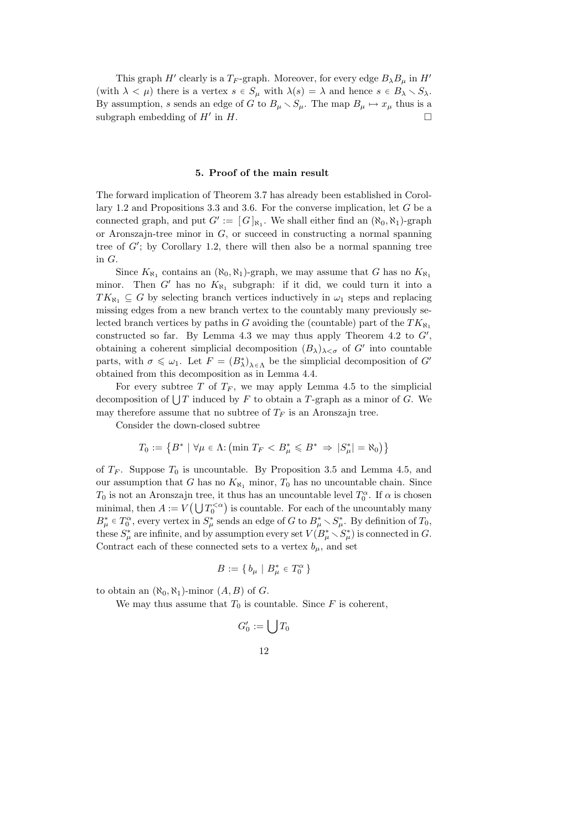This graph *H'* clearly is a  $T_F$ -graph. Moreover, for every edge  $B_\lambda B_\mu$  in *H'* (with  $\lambda < \mu$ ) there is a vertex  $s \in S_\mu$  with  $\lambda(s) = \lambda$  and hence  $s \in B_\lambda \setminus S_\lambda$ . By assumption, *s* sends an edge of *G* to  $B_\mu \setminus S_\mu$ . The map  $B_\mu \mapsto x_\mu$  thus is a subgraph embedding of  $H'$  in  $H$ .

#### **5. Proof of the main result**

The forward implication of Theorem 3.7 has already been established in Corollary 1.2 and Propositions 3.3 and 3.6. For the converse implication, let *G* be a connected graph, and put  $G' := [G]_{\aleph_1}$ . We shall either find an  $(\aleph_0, \aleph_1)$ -graph or Aronszajn-tree minor in *G*, or succeed in constructing a normal spanning tree of *G* ; by Corollary 1.2, there will then also be a normal spanning tree in *G*.

Since  $K_{\aleph_1}$  contains an  $(\aleph_0, \aleph_1)$ -graph, we may assume that *G* has no  $K_{\aleph_1}$ minor. Then  $G'$  has no  $K_{\aleph_1}$  subgraph: if it did, we could turn it into a  $TK_{\aleph_1} \subseteq G$  by selecting branch vertices inductively in  $\omega_1$  steps and replacing missing edges from a new branch vertex to the countably many previously selected branch vertices by paths in *G* avoiding the (countable) part of the  $TK_{\aleph_1}$ constructed so far. By Lemma 4.3 we may thus apply Theorem 4.2 to *G* , obtaining a coherent simplicial decomposition  $(B_{\lambda})_{\lambda<\sigma}$  of  $G'$  into countable parts, with  $\sigma \leq \omega_1$ . Let  $F = (B_{\lambda}^*)_{\lambda \in \Lambda}$  be the simplicial decomposition of *G'* obtained from this decomposition as in Lemma 4.4.

For every subtree *T* of  $T_F$ , we may apply Lemma 4.5 to the simplicial decomposition of  $\bigcup T$  induced by  $F$  to obtain a  $T$ -graph as a minor of  $G$ . We may therefore assume that no subtree of  $T_F$  is an Aronszajn tree.

Consider the down-closed subtree

$$
T_0 := \left\{ B^* \mid \forall \mu \in \Lambda : \left( \min T_F < B^*_{\mu} \leqslant B^* \ \Rightarrow \ |S^*_{\mu}| = \aleph_0 \right) \right\}
$$

of  $T_F$ . Suppose  $T_0$  is uncountable. By Proposition 3.5 and Lemma 4.5, and our assumption that *G* has no  $K_{\aleph_1}$  minor,  $T_0$  has no uncountable chain. Since *T*<sub>0</sub> is not an Aronszajn tree, it thus has an uncountable level  $T_0^{\alpha}$ . If  $\alpha$  is chosen minimal, then  $A := V(\bigcup T_0^{<\alpha})$  is countable. For each of the uncountably many  $B^*_{\mu} \in T_0^{\alpha}$ , every vertex in  $S^*_{\mu}$  sends an edge of *G* to  $B^*_{\mu} \setminus S^*_{\mu}$ . By definition of  $T_0$ , these  $S^*_{\mu}$  are infinite, and by assumption every set  $V(B^*_{\mu} \setminus S^*_{\mu})$  is connected in *G*. Contract each of these connected sets to a vertex  $b_{\mu}$ , and set

$$
B := \{ b_{\mu} \mid B_{\mu}^* \in T_0^{\alpha} \}
$$

to obtain an  $(\aleph_0, \aleph_1)$ -minor  $(A, B)$  of *G*.

We may thus assume that  $T_0$  is countable. Since  $F$  is coherent,

$$
G'_0 := \bigcup T_0
$$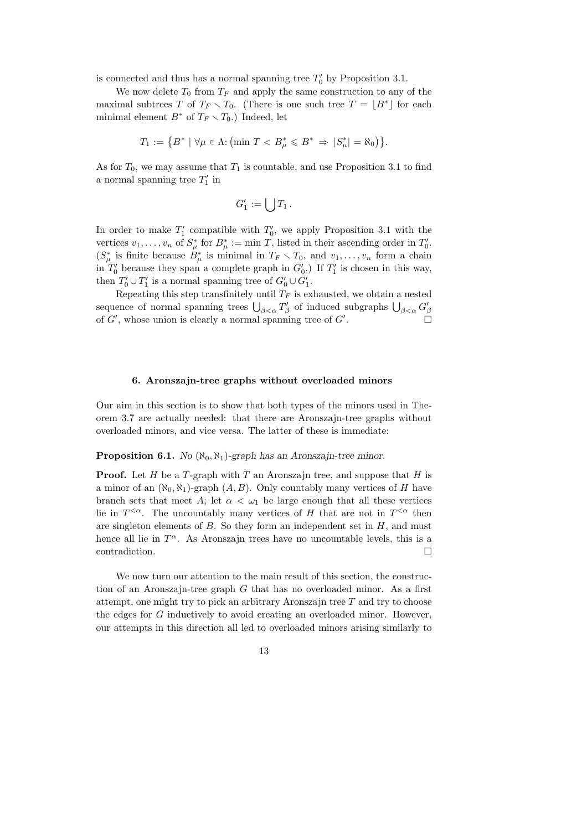is connected and thus has a normal spanning tree  $T_0'$  by Proposition 3.1.

We now delete  $T_0$  from  $T_F$  and apply the same construction to any of the maximal subtrees *T* of  $T_F \setminus T_0$ . (There is one such tree  $T = |B^*|$  for each minimal element  $B^*$  of  $T_F \setminus T_0$ .) Indeed, let

$$
T_1 := \{ B^* \mid \forall \mu \in \Lambda : (\min T < B^*_{\mu} \leqslant B^* \Rightarrow |S^*_{\mu}| = \aleph_0) \}.
$$

As for  $T_0$ , we may assume that  $T_1$  is countable, and use Proposition 3.1 to find a normal spanning tree  $T_1'$  in

$$
G_1':=\bigcup T_1.
$$

In order to make  $T_1'$  compatible with  $T_0'$ , we apply Proposition 3.1 with the vertices  $v_1, \ldots, v_n$  of  $S^*_{\mu}$  for  $B^*_{\mu} := \min T$ , listed in their ascending order in  $T'_0$ .  $(S^*_{\mu}$  is finite because  $B^*_{\mu}$  is minimal in  $T_F \setminus T_0$ , and  $v_1, \ldots, v_n$  form a chain in  $T'_0$  because they span a complete graph in  $G'_0$ .) If  $T'_1$  is chosen in this way, then  $T'_0 \cup T'_1$  is a normal spanning tree of  $G'_0 \cup G'_1$ .

Repeating this step transfinitely until  $T_F$  is exhausted, we obtain a nested sequence of normal spanning trees  $\bigcup_{\beta<\alpha}T'_{\beta}$  of induced subgraphs  $\bigcup_{\beta<\alpha}G'_{\beta}$ of *G* , whose union is clearly a normal spanning tree of *G* . — Первый профессиональный профессиональный профессиональный профессиональный профессиональный профессио<br>В профессиональный профессиональный профессиональный профессиональный профессиональный профессиональный профес

#### **6. Aronszajn-tree graphs without overloaded minors**

Our aim in this section is to show that both types of the minors used in Theorem 3.7 are actually needed: that there are Aronszajn-tree graphs without overloaded minors, and vice versa. The latter of these is immediate:

# **Proposition 6.1.** *No*  $(\aleph_0, \aleph_1)$ *-graph has an Aronszajn-tree minor.*

**Proof.** Let *H* be a *T*-graph with *T* an Aronszajn tree, and suppose that *H* is a minor of an  $(\aleph_0, \aleph_1)$ -graph  $(A, B)$ . Only countably many vertices of *H* have branch sets that meet *A*; let  $\alpha < \omega_1$  be large enough that all these vertices lie in  $T^{\leq \alpha}$ . The uncountably many vertices of *H* that are not in  $T^{\leq \alpha}$  then are singleton elements of *B*. So they form an independent set in *H*, and must hence all lie in  $T^{\alpha}$ . As Aronszajn trees have no uncountable levels, this is a contradiction.

We now turn our attention to the main result of this section, the construction of an Aronszajn-tree graph *G* that has no overloaded minor. As a first attempt, one might try to pick an arbitrary Aronszajn tree *T* and try to choose the edges for *G* inductively to avoid creating an overloaded minor. However, our attempts in this direction all led to overloaded minors arising similarly to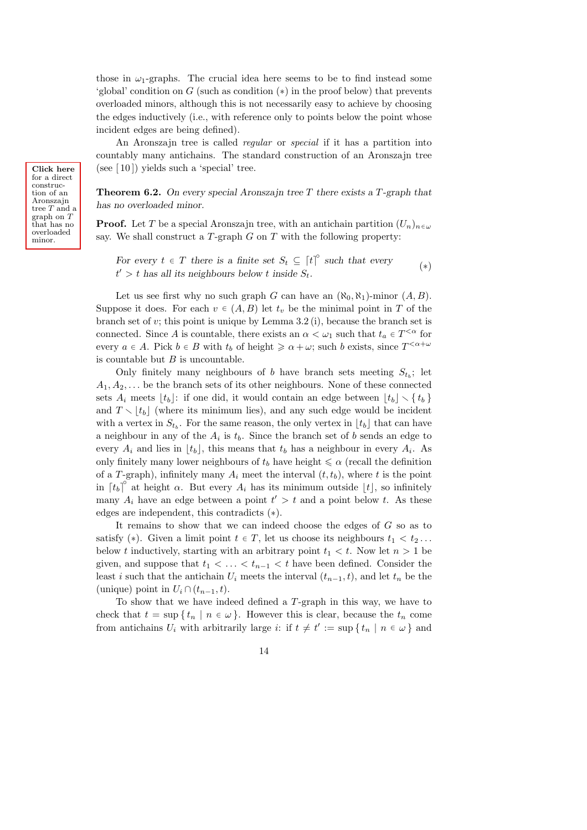those in  $\omega_1$ -graphs. The crucial idea here seems to be to find instead some 'global'condition on *G* (such as condition (∗) in the proof below) that prevents overloaded minors, although this is not necessarily easy to achieve by choosing the edges inductively (i.e., with reference only to points below the point whose incident edges are being defined).

An Aronszajn tree is called *regular* or *special* if it has a partition into countably many antichains. The standard construction of an Aronszajn tree (see  $\lceil 10 \rceil$ ) yields such a 'special' tree.

**Theorem 6.2.** *On every special Aronszajn tree T there exists a T-graph that has no overloaded minor.*

**Proof.** Let *T* be a special Aronszajn tree, with an antichain partition  $(U_n)_{n\in\omega}$ say. We shall construct a *T*-graph *G* on *T* with the following property:

*For every*  $t \in T$  *there is a finite set*  $S_t \subseteq [t]^{\circ}$  *such that every*  $t' > t$  has all its neighbours below *t* inside  $S_t$ . (\*)

Let us see first why no such graph *G* can have an  $(\aleph_0, \aleph_1)$ -minor  $(A, B)$ . Suppose it does. For each  $v \in (A, B)$  let  $t_v$  be the minimal point in *T* of the branch set of *v*; this point is unique by Lemma 3.2 (i), because the branch set is connected. Since *A* is countable, there exists an  $\alpha < \omega_1$  such that  $t_a \in T^{\leq \alpha}$  for every  $a \in A$ . Pick  $b \in B$  with  $t_b$  of height  $\ge \alpha + \omega$ ; such *b* exists, since  $T^{<\alpha+\omega}$ is countable but *B* is uncountable.

Only finitely many neighbours of *b* have branch sets meeting  $S_{t<sub>b</sub>}$ ; let  $A_1, A_2, \ldots$  be the branch sets of its other neighbours. None of these connected sets  $A_i$  meets  $|t_b|$ : if one did, it would contain an edge between  $|t_b| \setminus \{t_b\}$ and  $T \setminus |t_b|$  (where its minimum lies), and any such edge would be incident with a vertex in  $S_{t<sub>b</sub>}$ . For the same reason, the only vertex in  $|t<sub>b</sub>|$  that can have a neighbour in any of the  $A_i$  is  $t_b$ . Since the branch set of  $b$  sends an edge to every  $A_i$  and lies in  $|t_b|$ , this means that  $t_b$  has a neighbour in every  $A_i$ . As only finitely many lower neighbours of  $t_b$  have height  $\leq \alpha$  (recall the definition of a *T*-graph), infinitely many  $A_i$  meet the interval  $(t, t_b)$ , where *t* is the point in  $[t_b]^\circ$  at height  $\alpha$ . But every  $A_i$  has its minimum outside  $[t]$ , so infinitely many  $A_i$  have an edge between a point  $t' > t$  and a point below  $t$ . As these edges are independent, this contradicts (∗).

It remains to show that we can indeed choose the edges of *G* so as to satisfy (\*). Given a limit point  $t \in T$ , let us choose its neighbours  $t_1 < t_2 \ldots$ below *t* inductively, starting with an arbitrary point  $t_1 < t$ . Now let  $n > 1$  be given, and suppose that  $t_1 < \ldots < t_{n-1} < t$  have been defined. Consider the least *i* such that the antichain  $U_i$  meets the interval  $(t_{n-1}, t)$ , and let  $t_n$  be the (unique) point in  $U_i \cap (t_{n-1}, t)$ .

To show that we have indeed defined a *T*-graph in this way, we have to check that  $t = \sup \{ t_n \mid n \in \omega \}$ . However this is clear, because the  $t_n$  come from antichains  $U_i$  with arbitrarily large *i*: if  $t \neq t' := \sup \{ t_n \mid n \in \omega \}$  and

**[Click here](http://www.math.uni-hamburg.de/home/diestel/papers/Direct_T-construction.pdf)** for a direct construction of an Aronszajn tree *T* and a graph on *T* that has no overloaded minor.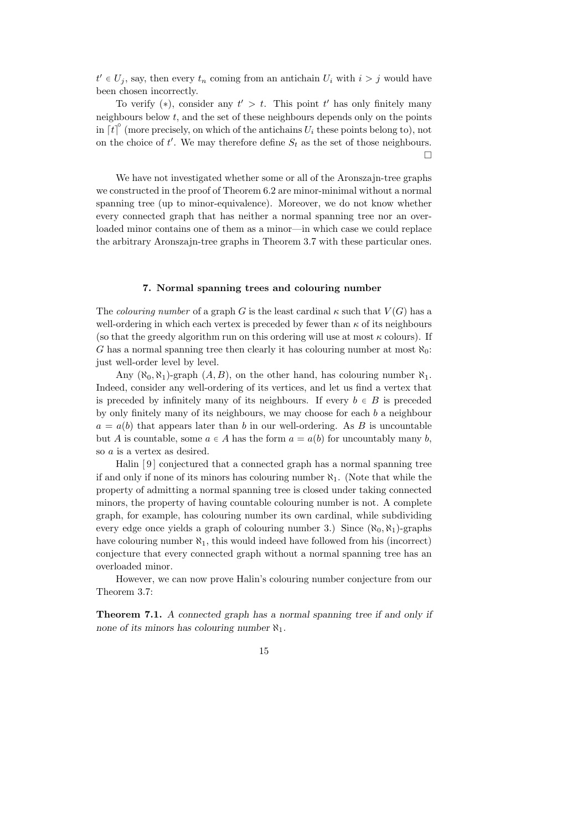$t' \in U_j$ , say, then every  $t_n$  coming from an antichain  $U_i$  with  $i > j$  would have been chosen incorrectly.

To verify  $(*),$  consider any  $t' > t$ . This point  $t'$  has only finitely many neighbours below *t*, and the set of these neighbours depends only on the points in  $\lceil t \rceil^{\circ}$  (more precisely, on which of the antichains  $U_i$  these points belong to), not on the choice of  $t'$ . We may therefore define  $S_t$  as the set of those neighbours.  $\Box$ 

We have not investigated whether some or all of the Aronszajn-tree graphs we constructed in the proof of Theorem 6.2 are minor-minimal without a normal spanning tree (up to minor-equivalence). Moreover, we do not know whether every connected graph that has neither a normal spanning tree nor an overloaded minor contains one of them as a minor—in which case we could replace the arbitrary Aronszajn-tree graphs in Theorem 3.7 with these particular ones.

#### **7. Normal spanning trees and colouring number**

The *colouring number* of a graph *G* is the least cardinal  $\kappa$  such that  $V(G)$  has a well-ordering in which each vertex is preceded by fewer than  $\kappa$  of its neighbours (so that the greedy algorithm run on this ordering will use at most *κ* colours). If *G* has a normal spanning tree then clearly it has colouring number at most  $\aleph_0$ : just well-order level by level.

Any  $(\aleph_0, \aleph_1)$ -graph  $(A, B)$ , on the other hand, has colouring number  $\aleph_1$ . Indeed, consider any well-ordering of its vertices, and let us find a vertex that is preceded by infinitely many of its neighbours. If every  $b \in B$  is preceded by only finitely many of its neighbours, we may choose for each *b* a neighbour  $a = a(b)$  that appears later than *b* in our well-ordering. As *B* is uncountable but *A* is countable, some  $a \in A$  has the form  $a = a(b)$  for uncountably many *b*, so *a* is a vertex as desired.

Halin [9] conjectured that a connected graph has a normal spanning tree if and only if none of its minors has colouring number  $\aleph_1$ . (Note that while the property of admitting a normal spanning tree is closed under taking connected minors, the property of having countable colouring number is not. A complete graph, for example, has colouring number its own cardinal, while subdividing every edge once yields a graph of colouring number 3.) Since  $(\aleph_0, \aleph_1)$ -graphs have colouring number  $\aleph_1$ , this would indeed have followed from his (incorrect) conjecture that every connected graph without a normal spanning tree has an overloaded minor.

However, we can now prove Halin's colouring number conjecture from our Theorem 3.7:

**Theorem 7.1.** *A connected graph has a normal spanning tree if and only if none of its minors has colouring number*  $\aleph_1$ *.*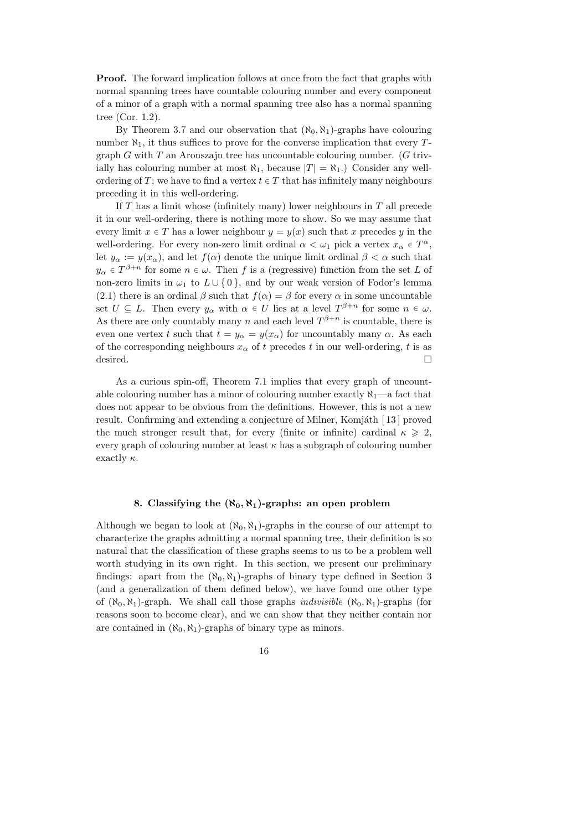**Proof.** The forward implication follows at once from the fact that graphs with normal spanning trees have countable colouring number and every component of a minor of a graph with a normal spanning tree also has a normal spanning tree (Cor. 1.2).

By Theorem 3.7 and our observation that  $(\aleph_0, \aleph_1)$ -graphs have colouring number  $\aleph_1$ , it thus suffices to prove for the converse implication that every *T*graph *G* with *T* an Aronszajn tree has uncountable colouring number. (*G* trivially has colouring number at most  $\aleph_1$ , because  $|T| = \aleph_1$ .) Consider any wellordering of *T*; we have to find a vertex  $t \in T$  that has infinitely many neighbours preceding it in this well-ordering.

If *T* has a limit whose (infinitely many) lower neighbours in *T* all precede it in our well-ordering, there is nothing more to show. So we may assume that every limit  $x \in T$  has a lower neighbour  $y = y(x)$  such that *x* precedes *y* in the well-ordering. For every non-zero limit ordinal  $\alpha < \omega_1$  pick a vertex  $x_\alpha \in T^\alpha$ , let  $y_{\alpha} := y(x_{\alpha})$ , and let  $f(\alpha)$  denote the unique limit ordinal  $\beta < \alpha$  such that  $y_{\alpha} \in T^{\beta+n}$  for some  $n \in \omega$ . Then *f* is a (regressive) function from the set *L* of non-zero limits in  $\omega_1$  to  $L \cup \{0\}$ , and by our weak version of Fodor's lemma (2.1) there is an ordinal  $\beta$  such that  $f(\alpha) = \beta$  for every  $\alpha$  in some uncountable set  $U \subseteq L$ . Then every  $y_{\alpha}$  with  $\alpha \in U$  lies at a level  $T^{\beta+n}$  for some  $n \in \omega$ . As there are only countably many *n* and each level  $T^{\beta+n}$  is countable, there is even one vertex *t* such that  $t = y_\alpha = y(x_\alpha)$  for uncountably many  $\alpha$ . As each of the corresponding neighbours  $x_\alpha$  of *t* precedes *t* in our well-ordering, *t* is as desired.  $\Box$ 

As a curious spin-off, Theorem 7.1 implies that every graph of uncountable colouring number has a minor of colouring number exactly  $\aleph_1$ —a fact that does not appear to be obvious from the definitions. However, this is not a new result. Confirming and extending a conjecture of Milner, Komjáth  $\lceil 13 \rceil$  proved the much stronger result that, for every (finite or infinite) cardinal  $\kappa \geqslant 2$ , every graph of colouring number at least  $\kappa$  has a subgraph of colouring number exactly *κ*.

# **8.** Classifying the  $(\aleph_0, \aleph_1)$ -graphs: an open problem

Although we began to look at  $(\aleph_0, \aleph_1)$ -graphs in the course of our attempt to characterize the graphs admitting a normal spanning tree, their definition is so natural that the classification of these graphs seems to us to be a problem well worth studying in its own right. In this section, we present our preliminary findings: apart from the  $(\aleph_0, \aleph_1)$ -graphs of binary type defined in Section 3 (and a generalization of them defined below), we have found one other type of  $(\aleph_0, \aleph_1)$ -graph. We shall call those graphs *indivisible*  $(\aleph_0, \aleph_1)$ -graphs (for reasons soon to become clear), and we can show that they neither contain nor are contained in  $(\aleph_0, \aleph_1)$ -graphs of binary type as minors.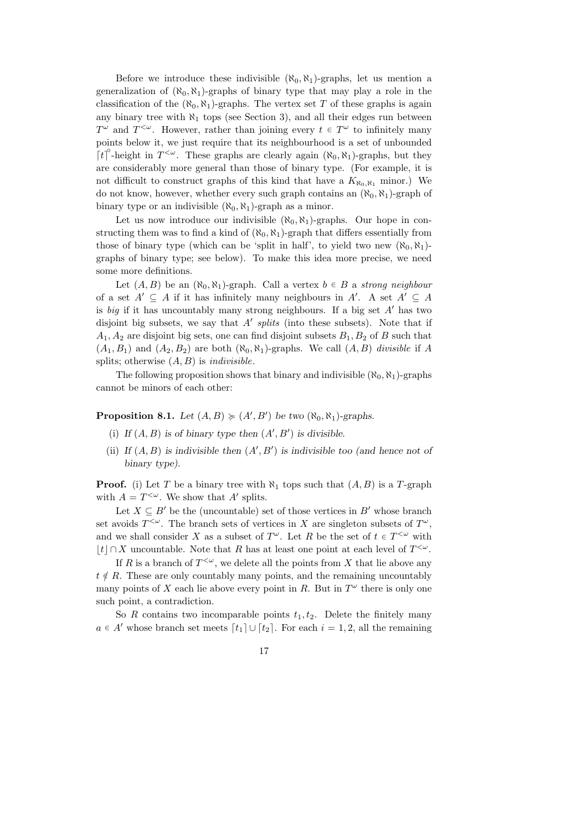Before we introduce these indivisible  $(\aleph_0, \aleph_1)$ -graphs, let us mention a generalization of  $(\aleph_0, \aleph_1)$ -graphs of binary type that may play a role in the classification of the  $(\aleph_0, \aleph_1)$ -graphs. The vertex set T of these graphs is again any binary tree with  $\aleph_1$  tops (see Section 3), and all their edges run between  $T^{\omega}$  and  $T^{\leq \omega}$ . However, rather than joining every  $t \in T^{\omega}$  to infinitely many points below it, we just require that its neighbourhood is a set of unbounded  $\lceil t \rceil^{\circ}$ -height in  $T^{\leq \omega}$ . These graphs are clearly again  $(\aleph_0, \aleph_1)$ -graphs, but they are considerably more general than those of binary type. (For example, it is not difficult to construct graphs of this kind that have a  $K_{\aleph_0, \aleph_1}$  minor.) We do not know, however, whether every such graph contains an  $(\aleph_0, \aleph_1)$ -graph of binary type or an indivisible  $(\aleph_0, \aleph_1)$ -graph as a minor.

Let us now introduce our indivisible  $(\aleph_0, \aleph_1)$ -graphs. Our hope in constructing them was to find a kind of  $(\aleph_0, \aleph_1)$ -graph that differs essentially from those of binary type (which can be 'split in half', to yield two new  $(\aleph_0, \aleph_1)$ graphs of binary type; see below). To make this idea more precise, we need some more definitions.

Let  $(A, B)$  be an  $(\aleph_0, \aleph_1)$ -graph. Call a vertex  $b \in B$  a *strong neighbour* of a set  $A' \subseteq A$  if it has infinitely many neighbours in  $A'$ . A set  $A' \subseteq A$ is big if it has uncountably many strong neighbours. If a big set *A* has two disjoint big subsets, we say that  $A'$  splits (into these subsets). Note that if  $A_1, A_2$  are disjoint big sets, one can find disjoint subsets  $B_1, B_2$  of  $B$  such that  $(A_1, B_1)$  and  $(A_2, B_2)$  are both  $(\aleph_0, \aleph_1)$ -graphs. We call  $(A, B)$  divisible if A splits; otherwise  $(A, B)$  is *indivisible*.

The following proposition shows that binary and indivisible  $(\aleph_0, \aleph_1)$ -graphs cannot be minors of each other:

**Proposition 8.1.** Let  $(A, B) \geq (A', B')$  be two  $(\aleph_0, \aleph_1)$ -graphs.

- (i) If  $(A, B)$  is of binary type then  $(A', B')$  is divisible.
- (ii) If  $(A, B)$  is indivisible then  $(A', B')$  is indivisible too (and hence not of *binary type).*

**Proof.** (i) Let T be a binary tree with  $\aleph_1$  tops such that  $(A, B)$  is a T-graph with  $A = T^{\langle \omega \rangle}$ . We show that A' splits.

Let  $X \subseteq B'$  be the (uncountable) set of those vertices in  $B'$  whose branch set avoids  $T^{\leq \omega}$ . The branch sets of vertices in *X* are singleton subsets of  $T^{\omega}$ , and we shall consider *X* as a subset of  $T^{\omega}$ . Let *R* be the set of  $t \in T^{\leq \omega}$  with  $|t| \cap X$  uncountable. Note that *R* has at least one point at each level of  $T^{\langle \omega \rangle}$ .

If *R* is a branch of  $T^{\leq \omega}$ , we delete all the points from *X* that lie above any  $t \notin R$ . These are only countably many points, and the remaining uncountably many points of X each lie above every point in R. But in  $T^{\omega}$  there is only one such point, a contradiction.

So *R* contains two incomparable points  $t_1, t_2$ . Delete the finitely many *a* ∈ *A'* whose branch set meets  $[t_1] ∪ [t_2]$ . For each  $i = 1, 2$ , all the remaining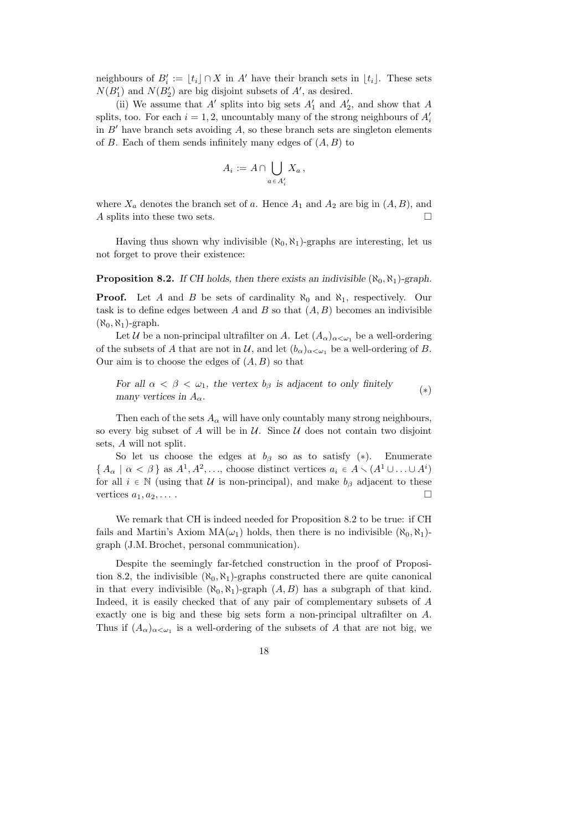neighbours of  $B_i' := \lfloor t_i \rfloor \cap X$  in A' have their branch sets in  $\lfloor t_i \rfloor$ . These sets  $N(B'_1)$  and  $N(B'_2)$  are big disjoint subsets of  $A'$ , as desired.

(ii) We assume that  $A'$  splits into big sets  $A'_1$  and  $A'_2$ , and show that  $A$ splits, too. For each  $i = 1, 2$ , uncountably many of the strong neighbours of  $A_i'$ in  $B'$  have branch sets avoiding  $A$ , so these branch sets are singleton elements of *B*. Each of them sends infinitely many edges of (*A, B*) to

$$
A_i := A \cap \bigcup_{a \in A'_i} X_a \,,
$$

where  $X_a$  denotes the branch set of *a*. Hence  $A_1$  and  $A_2$  are big in  $(A, B)$ , and *A* splits into these two sets. □

Having thus shown why indivisible  $(\aleph_0, \aleph_1)$ -graphs are interesting, let us not forget to prove their existence:

**Proposition 8.2.** *If CH holds, then there exists an indivisible*  $(\aleph_0, \aleph_1)$ *-graph.* 

**Proof.** Let *A* and *B* be sets of cardinality  $\aleph_0$  and  $\aleph_1$ , respectively. Our task is to define edges between  $A$  and  $B$  so that  $(A, B)$  becomes an indivisible  $(\aleph_0, \aleph_1)$ -graph.

Let U be a non-principal ultrafilter on A. Let  $(A_{\alpha})_{\alpha<\omega_1}$  be a well-ordering of the subsets of *A* that are not in  $\mathcal{U}$ , and let  $(b_{\alpha})_{\alpha < \omega_1}$  be a well-ordering of *B*. Our aim is to choose the edges of (*A, B*) so that

*For all*  $\alpha < \beta < \omega_1$ , the vertex  $b_{\beta}$  *is adjacent to only finitely many vertices in*  $A_{\alpha}$ . (\*)

Then each of the sets  $A_\alpha$  will have only countably many strong neighbours, so every big subset of  $A$  will be in  $U$ . Since  $U$  does not contain two disjoint sets, *A* will not split.

So let us choose the edges at  $b_\beta$  so as to satisfy (\*). Enumerate  ${A_{\alpha} \mid \alpha < \beta}$  as  $A^1, A^2, \ldots$ , choose distinct vertices  $a_i \in A \setminus (A^1 \cup \ldots \cup A^i)$ for all  $i \in \mathbb{N}$  (using that  $\mathcal U$  is non-principal), and make  $b_{\beta}$  adjacent to these vertices  $a_1, a_2, \ldots$  .

We remark that CH is indeed needed for Proposition 8.2 to be true: if CH fails and Martin's Axiom  $MA(\omega_1)$  holds, then there is no indivisible  $(\aleph_0, \aleph_1)$ graph (J.M. Brochet, personal communication).

Despite the seemingly far-fetched construction in the proof of Proposition 8.2, the indivisible  $(\aleph_0, \aleph_1)$ -graphs constructed there are quite canonical in that every indivisible  $(\aleph_0, \aleph_1)$ -graph  $(A, B)$  has a subgraph of that kind. Indeed, it is easily checked that of any pair of complementary subsets of *A* exactly one is big and these big sets form a non-principal ultrafilter on *A*. Thus if  $(A_{\alpha})_{\alpha<\omega_1}$  is a well-ordering of the subsets of *A* that are not big, we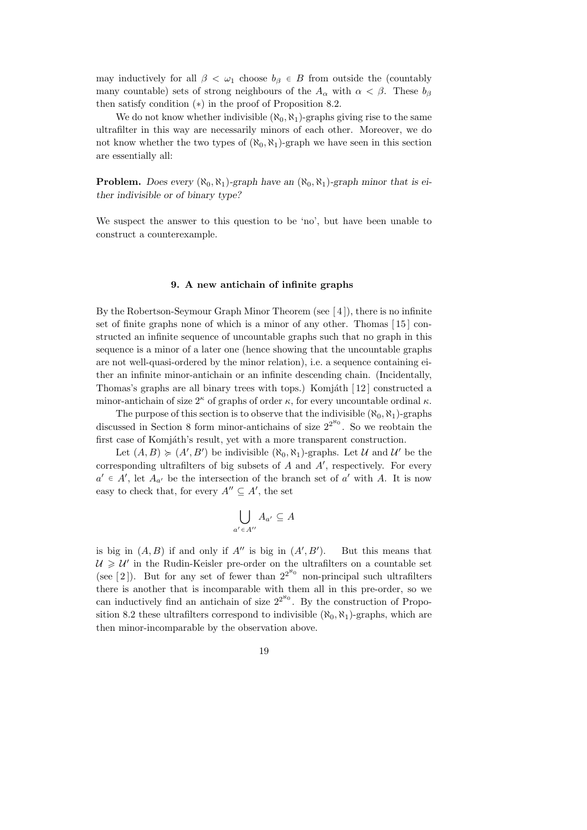may inductively for all  $\beta < \omega_1$  choose  $b_\beta \in B$  from outside the (countably many countable) sets of strong neighbours of the  $A_{\alpha}$  with  $\alpha < \beta$ . These  $b_{\beta}$ then satisfy condition  $(*)$  in the proof of Proposition 8.2.

We do not know whether indivisible  $(\aleph_0, \aleph_1)$ -graphs giving rise to the same ultrafilter in this way are necessarily minors of each other. Moreover, we do not know whether the two types of  $(\aleph_0, \aleph_1)$ -graph we have seen in this section are essentially all:

**Problem.** Does every  $(\aleph_0, \aleph_1)$ -graph have an  $(\aleph_0, \aleph_1)$ -graph minor that is ei*ther indivisible or of binary type?*

We suspect the answer to this question to be 'no', but have been unable to construct a counterexample.

# **9. A new antichain of infinite graphs**

By the Robertson-Seymour Graph Minor Theorem (see [ 4 ]), there is no infinite set of finite graphs none of which is a minor of any other. Thomas  $[15]$  constructed an infinite sequence of uncountable graphs such that no graph in this sequence is a minor of a later one (hence showing that the uncountable graphs are not well-quasi-ordered by the minor relation), i.e. a sequence containing either an infinite minor-antichain or an infinite descending chain. (Incidentally, Thomas's graphs are all binary trees with tops.) Komjáth  $[12]$  constructed a minor-antichain of size  $2^k$  of graphs of order  $\kappa$ , for every uncountable ordinal  $\kappa$ .

The purpose of this section is to observe that the indivisible  $(\aleph_0, \aleph_1)$ -graphs discussed in Section 8 form minor-antichains of size  $2^{2^{\aleph_0}}$ . So we reobtain the first case of Komjáth's result, yet with a more transparent construction.

Let  $(A, B) \geq (A', B')$  be indivisible  $(\aleph_0, \aleph_1)$ -graphs. Let U and U' be the corresponding ultrafilters of big subsets of *A* and *A* , respectively. For every  $a' \in A'$ , let  $A_{a'}$  be the intersection of the branch set of  $a'$  with  $A$ . It is now easy to check that, for every  $A'' \subseteq A'$ , the set

$$
\bigcup_{a' \in A''} A_{a'} \subseteq A
$$

is big in  $(A, B)$  if and only if  $A''$  is big in  $(A', B')$ ). But this means that  $U \geq U'$  in the Rudin-Keisler pre-order on the ultrafilters on a countable set (see [2]). But for any set of fewer than  $2^{2^{k_0}}$  non-principal such ultrafilters there is another that is incomparable with them all in this pre-order, so we can inductively find an antichain of size  $2^{2^{\kappa_0}}$ . By the construction of Proposition 8.2 these ultrafilters correspond to indivisible  $(\aleph_0, \aleph_1)$ -graphs, which are then minor-incomparable by the observation above.